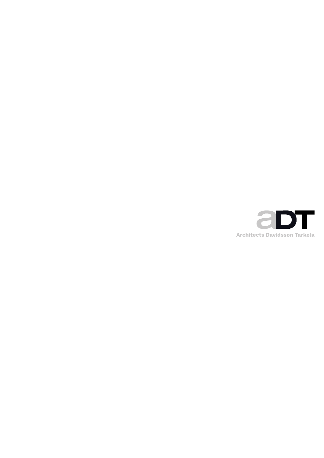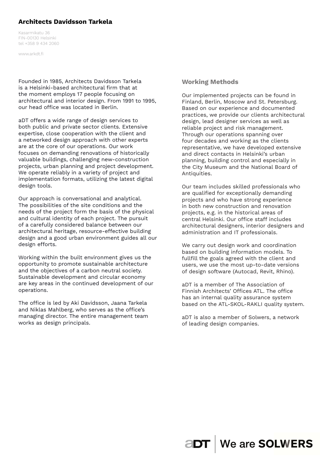# **Architects Davidsson Tarkela**

Kasarmikatu 36 FIN-00130 Helsinki tel +358 9 434 2060

www.arkdt.fi

Founded in 1985, Architects Davidsson Tarkela is a Helsinki-based architectural firm that at the moment employs 17 people focusing on architectural and interior design. From 1991 to 1995, our head office was located in Berlin.

aDT offers a wide range of design services to both public and private sector clients. Extensive expertise, close cooperation with the client and a networked design approach with other experts are at the core of our operations. Our work focuses on demanding renovations of historically valuable buildings, challenging new-construction projects, urban planning and project development. We operate reliably in a variety of project and implementation formats, utilizing the latest digital design tools.

Our approach is conversational and analytical. The possibilities of the site conditions and the needs of the project form the basis of the physical and cultural identity of each project. The pursuit of a carefully considered balance between our architectural heritage, resource-effective building design and a good urban environment guides all our design efforts.

Working within the built environment gives us the opportunity to promote sustainable architecture and the objectives of a carbon neutral society. Sustainable development and circular economy are key areas in the continued development of our operations.

The office is led by Aki Davidsson, Jaana Tarkela and Niklas Mahlberg, who serves as the office's managing director. The entire management team works as design principals.

## **Working Methods**

Our implemented projects can be found in Finland, Berlin, Moscow and St. Petersburg. Based on our experience and documented practices, we provide our clients architectural design, lead designer services as well as reliable project and risk management. Through our operations spanning over four decades and working as the clients representative, we have developed extensive and direct contacts in Helsinki's urban planning, building control and especially in the City Museum and the National Board of Antiquities.

Our team includes skilled professionals who are qualified for exceptionally demanding projects and who have strong experience in both new construction and renovation projects, e.g. in the historical areas of central Helsinki. Our office staff includes architectural designers, interior designers and administration and IT professionals.

We carry out design work and coordination based on building information models. To fullfill the goals agreed with the client and users, we use the most up-to-date versions of design software (Autocad, Revit, Rhino).

aDT is a member of The Association of Finnish Architects' Offices ATL. The office has an internal quality assurance system based on the ATL-SKOL-RAKLI quality system.

aDT is also a member of Solwers, a network of leading design companies.

**aDT** | We are SOLWERS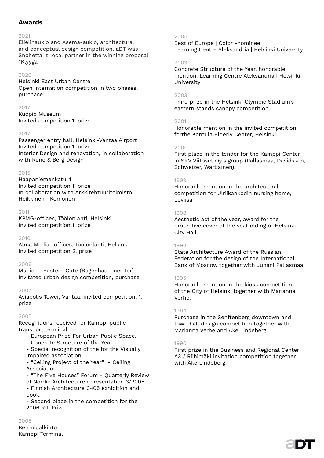# **Awards**

#### $2021$

Elielinaukio and Asema-aukio, architectural and conceptual design competition. aDT was Snøhetta´s local partner in the winning proposal "Klyyga"

#### 2020

Helsinki East Urban Centre Open internation competition in two phases, purchase

#### 2017

Kuopio Museum Invited competition 1. prize

## 2017

Passenger entry hall, Helsinki-Vantaa Airport Invited competition 1. prize Interior Design and renovation, in collaboration with Rune & Berg Design

## $2015$

Haapaniemenkatu 4 Invited competition 1. prize In collaboration with Arkkitehtuuritoimisto Heikkinen –Komonen

#### 2011

KPMG-offices, Töölönlahti, Helsinki Invited competition 1. prize

#### 2010

Alma Media -offices, Töölönlahti, Helsinki Invited competition 2. prize

#### 2009

Munich's Eastern Gate (Bogenhausener Tor) Invitated urban design competition, purchase

#### 2007

Aviapolis Tower, Vantaa: invited competition, 1. prize

#### 2005

Recognitions received for Kamppi public transport terminal:

- European Prize For Urban Public Space.
- Concrete Structure of the Year

- Special recognition of the for the Visually Impaired association

- "Ceiling Project of the Year" - Ceiling Association.

- "The Five Houses" Forum - Quarterly Review of Nordic Architecturen presentation 3/2005. - Finnish Architecture 0405 exhibition and book.

- Second place in the competition for the 2006 RIL Prize.

## 2005

Betonipalkinto Kamppi Terminal

#### 2005

Best of Europe | Color -nominee Learning Centre Aleksandria | Helsinki University

#### 2003

Concrete Structure of the Year, honorable mention. Learning Centre Aleksandria | Helsinki University

#### 2003

Third prize in the Helsinki Olympic Stadium's eastern stands canopy competition.

#### 2001

Honorable mention in the invited competition forthe Kontula Elderly Center, Helsinki.

#### $2000$

First place in the tender for the Kamppi Center in SRV Viitoset Oy's group (Pallasmaa, Davidsson, Schweizer, Wartiainen).

#### 1999

Honorable mention in the architectural competition for Ulriikankodin nursing home, Loviisa

#### 1998

Aesthetic act of the year, award for the protective cover of the scaffolding of Helsinki City Hall.

#### 1996

State Architecture Award of the Russian Federation for the design of the International Bank of Moscow together with Juhani Pallasmaa.

## 1995

Honorable mention in the kiosk competition of the City of Helsinki together with Marianna Verhe.

## 1994

Purchase in the Senftenberg downtown and town hall design competition together with Marianna Verhe and Åke Lindeberg.

## 1990

First prize in the Business and Regional Center A3 / Riihimäki invitation competition together with Åke Lindeberg.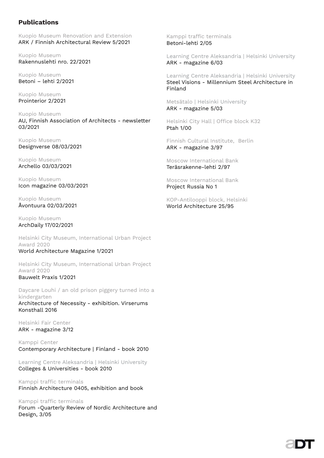# **Publications**

Kuopio Museum Renovation and Extension ARK / Finnish Architectural Review 5/2021

Kuopio Museum Rakennuslehti nro. 22/2021

Kuopio Museum Betoni – lehti 2/2021

Kuopio Museum Prointerior 2/2021

Kuopio Museum AU, Finnish Association of Architects - newsletter 03/2021

Kuopio Museum Designverse 08/03/2021

Kuopio Museum Archello 03/03/2021

Kuopio Museum Icon magazine 03/03/2021

Kuopio Museum Åvontuura 02/03/2021

Kuopio Museum ArchDaily 17/02/2021

Helsinki City Museum, International Urban Project Award 2020 World Architecture Magazine 1/2021

Helsinki City Museum, International Urban Project Award 2020 Bauwelt Praxis 1/2021

Daycare Louhi / an old prison piggery turned into a kindergarten Architecture of Necessity - exhibition. Virserums Konsthall 2016

Helsinki Fair Center ARK - magazine 3/12

Kamppi Center Contemporary Architecture | Finland - book 2010

Learning Centre Aleksandria | Helsinki University Colleges & Universities - book 2010

Kamppi traffic terminals Finnish Architecture 0405, exhibition and book

## Kamppi traffic terminals

Forum -Quarterly Review of Nordic Architecture and Design, 3/05

Kamppi traffic terminals Betoni-lehti 2/05

Learning Centre Aleksandria | Helsinki University ARK - magazine 6/03

Learning Centre Aleksandria | Helsinki University Steel Visions - Millennium Steel Architecture in Finland

Metsätalo | Helsinki University ARK - magazine 5/03

Helsinki City Hall | Office block K32 Ptah 1/00

Finnish Cultural Institute, Berlin ARK - magazine 3/97

Moscow International Bank Teräsrakenne-lehti 2/97

Moscow International Bank Project Russia No 1

KOP-Antilooppi block, Helsinki World Architecture 25/95

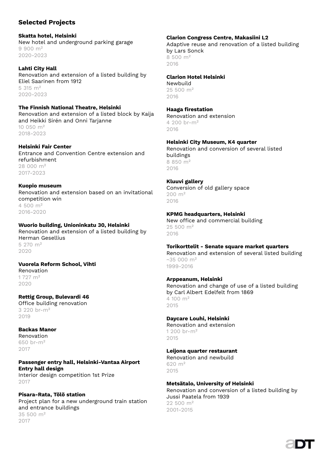# **Selected Projects**

#### **Skatta hotel, Helsinki**  New hotel and underground parking garage 9 900 m² 2020-2023

**Lahti City Hall**  Renovation and extension of a listed building by Eliel Saarinen from 1912 5 315 m² 2020-2023

**The Finnish National Theatre, Helsinki** Renovation and extension of a listed block by Kaija and Heikki Sirén and Onni Tarjanne 10 050 m² 2018-2023

**Helsinki Fair Center** Entrance and Convention Centre extension and refurbishment 28 000 m² 2017-2023

**Kuopio museum** Renovation and extension based on an invitational competition win 4 500 m² 2016-2020

**Wuorio building, Unioninkatu 30, Helsinki** Renovation and extension of a listed building by Herman Gesellius 5 270 m² 2020

# **Vuorela Reform School, Vihti**

Renovation 1 727 m² 2020

## **Rettig Group, Bulevardi 46**

Office building renovation 3 220 br-m²  $2019$ 

#### **Backas Manor**

Renovation 650 br-m² 2017

## **Passenger entry hall, Helsinki-Vantaa Airport Entry hall design**

Interior design competition 1st Prize 2017

## **Pisara-Rata, Tölö station**

Project plan for a new underground train station and entrance buildings 35 500 m² 2017

## **Clarion Congress Centre, Makasiini L2**

Adaptive reuse and renovation of a listed building by Lars Sonck 8 500 m² 2016

# **Clarion Hotel Helsinki**

Newbuild 25 500 m²  $2016$ 

#### **Haaga fi restation**

Renovation and extension 4 200 br-m² 2016

## **Helsinki City Museum, K4 quarter**

Renovation and conversion of several listed buildings 8 850 m² 2016

## **Kluuvi gallery**

Conversion of old gallery space 200 m² 2016

## **KPMG headquarters, Helsinki**

New office and commercial building 25 500 m² 2016

## **Torikorttelit - Senate square market quarters**

Renovation and extension of several listed building  $~1.35$  000 m<sup>2</sup> 1999-2016

## **Arppeanum, Helsinki**

Renovation and change of use of a listed building by Carl Albert Edelfelt from 1869 4 100 m² 2015

## **Daycare Louhi, Helsinki**

Renovation and extension 1 200 br-m² 2015

## **Leijona quarter restaurant**

Renovation and newbuild 620 m²  $2015$ 

## **Metsätalo, University of Helsinki**

Renovation and conversion of a listed building by Jussi Paatela from 1939 22 500 m² 2001-2015